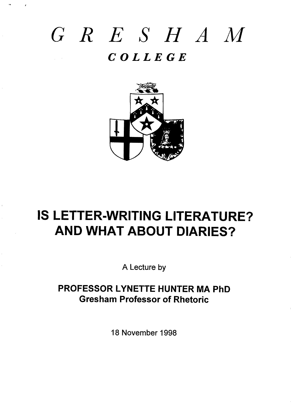# *GRE SHAM COLLEGE*

!. r



## **IS LETTER-WRITING LITERATURE? AND WHAT ABOUT DIARIES?**

A Lecture by

**PROFESSOR LYNETTE HUNTER MA PhD Gresham Professor of Rhetoric**

18 November 1998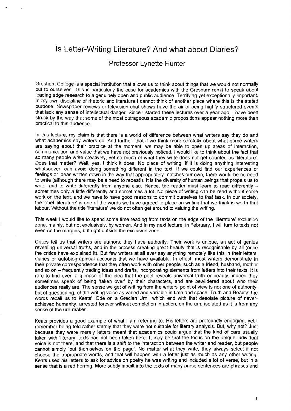### Is Letter-Writing Literature? And what about Diaries?

,,

,

#### Professor Lynette Hunter

Gresham College is a special institution that allows **us to think about things that we would not normally put to** ourselves. This is paflicularly the case for academics with the Gresham remit to speak about leading edge research to a genuinely open and public audience. Terrifying yet exceptionally important. In my own discipline of rhetoric and literature I cannot think of another place where this is the stated purpose. Newspaper reviews or television chat shows have the air of being highly structured events that lack any sense of intellectual danger. Since I started these lectures over a year ago, I have been struck by the way that some of the most outrageous academic propositions appear nothing more than practical to this audience.

In this lecture, my claim is that there is a world of difference between what writers say they do and what academics say writers do. And further: that if we think more carefully about what some writers are saying about their practice at the moment, we may be able to open up areas of interaction, communication and value that we have not previously noticed. I would like to think about the fact that so many people write creatively, yet so much of what they write does not get counted as 'literature'. Does that matter? Well, yes, I think it does. No piece of writing, if it is doing anything interesting whatsoever, can avoid doing something different in the text. If we could find our experiences or feelings or ideas written down in the way that appropriately matches our own, there would be no need to write (although there may be a need to repeat!). It is the diversity of human beings that propels us to write, and to write differently from anyone else. Hence, the reader must learn to read differently  $$ sometimes only a little differently and sometimes a lot. No piece of writing can be read without some work on the text, and we have to have good reasons to commit ourselves to that task. In our society, the label 'literature' is one of the words we have agreed to place on writing that we think is worth that Iabour. Without the title 'literature' we do not often get around to valuing the writing.

This week I would like to spend some time reading from texts on the edge of the 'literature' exclusion zone, mainly, but not exclusively, by women. And in my next lecture, in February, I will turn to texts not even on the margins, but right outside the exclusion zone.

Critics tell us that writers are authors: they have authority. Their work is unique, an act of genius revealing universal truths, and in the process creating great beauty that is recognizable by all (once the critics have explained it). But few writers at ail ever say anything remotely like this in their letters, diaries or autobiographical accounts that we have available. In effect, most writers demonstrate in their private correspondence that they often work with other people, such as a friend, husband, mother and so on – frequently trading ideas and drafts, incorporating elements from letters into their texts. It is rare to find even a glimpse of the idea that the poet reveals universal truth or beauty, indeed they sometimes speak of being 'taken over' by their characters, and are bewildered about who their audiences really are. The sense we get of writing from the writers' point of view is not one of authority, but of questioning, of the writing voice as varied and variable in time and space. Truth and Beauty: the words recall us to Keats' 'Ode on a Grecian Urn', which end with that desolate picture of neverachieved humanity, arrested forever without completion in action, on the urn, isolated as it is from any sense of the urn-maker.

Keats provides a good example of what 1 am referring to. His letters are profoundly engaging, yet I remember being told rather sternly that they were not suitable for literary analysis. But, why not? Just because they were merely letters meant that academics could argue that the kind of care usually taken with 'literary' texts had not been taken here. it may be that the focus on the unique individual voice is not there, and that there is a shift to the interaction between the writer and reader, but people cannot simply 'put themselves on the page'. No matter what they write, they always select if not choose the appropriate words, and that will happen with a letter just as much as any other writing. Keats used his letters to ask for advice on poetry he was writing and included a lot of verse, but in a sense that is a red herring. More subtly inbuilt into the texts of many prose sentences are phrases and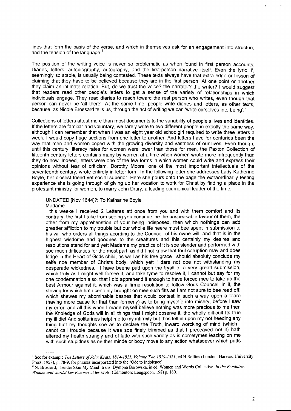lines that form the basis of the verse, and which in themselves ask for an engagement into structure and the tension of the language. $\frac{1}{2}$ 

The position of the writing voice is never so problematic as when found in first person accounts: Diaries, letters, autobiography, autography, and the first-person narrative itself. Even the lyric 'I', seemingly so stable, is usually being contested. These texts always have that extra edge or frisson of claiming that they have to be believed because they are in the first person. At one point or another they claim an intimate relation. But, do we trust the voice? the narrator? the writer? I would suggest that readers read other people's Ietiers to get a sense of the variety of relationships in which individuals engage. They read diaries to reach toward the real person who writes, even though that person can never be 'all there'. At the same time, people write diaries and letters, as other texts, because, as Nicole Brossard tells us, through the act of writing we can 'write ourselves into being'.

Collections of letters attest more than most documents to the variability of people's lives and identities. if the letters are familiar and voluntary, we rarely write to two different people in exactly the same way, although I can remember that when I was an eight year old schoolgirl required to write three letters a week, 1would copy huge sections from one letter to another. And letters have for centuries been the way that men and women coped with the growing diversity and vastness of our lives. Even though, until this century, literacy rates for women were lower than those for men, the Paxton Collection of fifteenth century letters contains many by women at a time when women wrote more infrequently than they do now. Indeed, letters were one of the few forms in which women could write and express their opinions without fear of criticism. Dorothy Moore, one of the most important intellectuals of the seventeenth century, wrote entirely in letter form. In the following letter she addresses Lady Katherine Boyle, her closest friend yet social superior. Here she pours onto the page the extraordinarily testing experience she is going through of giving up her vocation to work for Christ by finding a place in the protestant ministry for women, to marry John Drury, a leading ecumenical leader of the time:

#### UNDATED [Nov 1644]?: To Katharine Boyle

Madame

this weeke I received 2 Letteres att once from you and with them comfort and its contrary, the first I take from seeing you continue ine the unspeakable favour of them, the other from my apprehension of your being indisposed, then which nothinge can add greatter affliction to my trouble but our wholle life heere must bee spent in submission to his will who orders all things acording to the Councell of his owne will; and that is in the highest wisdome and goodnes to the creatures and this certainly my desires and resolutions stand for and yett Madame my practice of it is soe slender and performed with soe much difficulties for the most part, as did I not know that foul coruption may and does lodge in the Heart of Gods child, as well as his free grace I should absoluty conclude my selfe noe member of Christs body, which yett I dare not doe not withstanding my desperate wickednes. I have beene putt upon the tryall of a very greatt submission, which truly as I might well forsee it, and take tyme to resolve it, I cannot but say for my one condemnation also, that I did apprehend it enough to have forced mee to take up the best Armour against it, which was a firme resolution to follow Gods Councell in it, the striving for which bath certainly brought on mee such fitts as I am not sure to bee read off, which shewes my abominable basnes that would contest in such a way upon a feare (having more cause for that than formerly) as to bring myselfe into misery, before I saw my error, and all this when I made myself believe nothing was more precious to me then the Knoledge of Gods will in all things that I might observe it, tho wholly difficult Its true my ill diet And solitarines helpt me to my infirmity but thos fell in upon my not heeding any thing butt my thoughts soe as to declare the Truth, inward worcking of mind (which I canot call trouble because it was soe finely trimmed as that I preceaved not it) hath altered my health strangly and of Iatte with such variety as is sometymes Ieazing on me with such stupidnes as neither minde or body move to any action whatsoever which putts t

<sup>1</sup>See for example *The Letters ofJohn Keats, 1814-1821, Volume Two 1819-1821,* ed H.Rollins (London: Harvard Universiw Press, 1958), p. 78-9, for phrases incorporated into the 'Ode to Indolence'.

<sup>&</sup>lt;sup>2</sup> N. Brossard, 'Tender Skin My Mind' trans. Dympna Borowska, in ed. Women and Words Collective, *In the Feminine: Women and words/ Les Femmes et les Mets.* (Edmonton: Longspoon, 198) p. 180.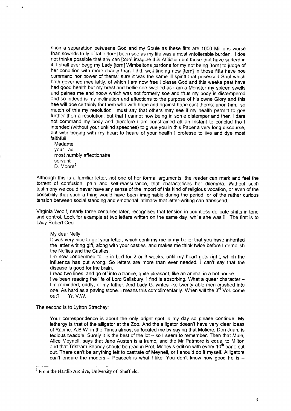such a separation betweene God and my Soule as these fitts are 1000 Millions worse than sownds truly of Iatte [torn] been soe as my life was a most vntollerable burden. I doe not thinke possible that any can [torn] imagine this Affliction but those that have sufferd in it, I shall ever begg my Lady [torn] Wimbeltons pardone for my not being [torn] to judge of her condition with more charity than I did, well finding now [torn] in those fitts have noe command nor power of thems: sure it was the same ill spiritt that posessed Saul which bath governed mee Iattly, of which I am now free I blesse God and this weeke past have had good health but my brest and beliie soe swelled as 1am a Monster my spleen swells and paines me and noow which was not formerly soe and thus my body is distempered and so indeed is my inclination and affections to the purpose of his owne Glory and this hee will doe certainly for them who with hope and against hope cast thems: upon him. so mutch of this my resolution I must say that others may see if my health permitt to goe further then a resolution, but that I cannot now being in some distemper and then I dare not command my body and therefore 1 am constrained att an Instant to conclud tho I intended (without your unkind speeches) to givue you in this Paper a very long discourse, but with beging with my heart to heare of your health I professe to live and dye most faithfull

Madame your Lad. most humbly affectionate servant D. Moore<sup>3</sup>

Although this is a familiar letter, not one of her formal arguments, the reader can mark and feel the torrent of confusion, pain and self-reassurance, that characterises her dilemma. Without such testimony we could never have any sense of the import of this kind of religious vocation, or even of the possibility that such a thing would have been imaginable during the period, or of the rather curious tension between social standing and emotional intimacy that letter-writing can transcend.

Virginia Woolf, nearly three centuries later, recognises that tension in countless delicate shifts in tone and control. Look for example at two letters written on the same day, while she was ill. The first is to Lady Robert Cecil:

#### My dear Nelly,

\*

It was very nice to get your letter, which confirms me in my belief that you have inherited the letter writing gift, along with your castles, and makes me think twice before I demolish the Nellies and the Castles.

I'm now condemned to lie in bed for 2 or 3 weeks, until my heart gets right, which the influenza has put wrong. So letters are more than ever needed. I can't say that the disease is good for the brain.

I read two lines, and go off into a trance, quite pleasant, like an animal in a hot house.

I've been reading the life of Lord Salisbury. I find is absorbing. What a queer character -I'm reminded, oddly, of my father. And Lady G. writes like twenty able men crushed into one. As hard as a paving stone. I means this complimentarily. When will the 3<sup>rd</sup> Vol. come out? Yr. V.W.

The second is to Lytton Strachey:

Your correspondence is about the only bright spot in my day so please continue. My lethargy is that of the alligator at the Zoo. And the alligator doesn't have very clear ideas of Racine. A. B.W. in the Times almost suffocated me by saying that Moliere, Don Juan, is tedious twaddle. Surely it is the best of the lot  $-$  so I seem to remember. Then that Mule, Alice Meynell, says that Jane Austen is a frump, and the Mr Patmore is equal to Milton and that Tristram Shandy should be read in Prof. Morley's edition with every 10<sup>th</sup> page cut out. There can't be anything left to castrate of Meynell, or I should do it myself. Alligators can't endure the moders  $-$  Peacock is what I like. You don't know how good he is  $-$ 

 $3$  From the Hartlib Archive, University of Sheffield.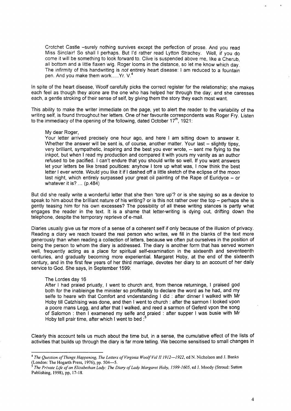Crotchet Castle -surely nothing survives except the petiection of prose. And you read Miss Sinclair! So shall I perhaps. But I'd rather read Lytton Strachey. Well, if you do come it will be something to look forward to. Clive is suspended above me, like a Cherub, all bottom and a little flaxen wig. Roger looms in the distance, so let me know which day. The infirmity of this handwriting is not entirely heart disease: I am reduced to a fountain pen. And you make them work.....Yr. V.

In spite of the heart disease, Woolf carefully picks the correct register for the relationship; she makes each feel as though they alone are the one who has helped her through the day; and she caresses each, a gentle stroking of their sense of self, by giving them the story they each most want.

This ability to make the writer immediate on the page, yet to alert the reader to the variability of the writing self, is found throughout her letters. One of her favourite correspondents was Roger Fry. Listen to the immediacy of the opening of the following, dated October  $17<sup>th</sup>$ , 1921:

#### My dear Roger,

Your letter arrived precisely one hour ago, and here I am sitting down to answer it. Whether the answer will be sent is, of course, another matter. Your last – slightly tipsy, very brilliant, sympathetic, inspiring and the best you ever wrote, -- sent me flying to the inkpot, but when I read my production and compared it with yours my vanity as an author refused to be pacified. I can't endure that you should write so well. If you want answers let your letters be like bread poultices: anyhow I tore up what was, I now think the best letter I ever wrote. Would you like it if I dashed off a little sketch of the eclipse of the moon last night, which entirely surpassed your great oil painting of the Rape of Euridyce  $-$  or whatever it is?  $\dots$  (p.484)

But did she really write a wonderful letter that she then 'tore up'? or is she saying so as a device to speak to him about the brilliant nature of his writing? or is this not rather over the top  $-$  perhaps she is gently teasing him for his own excesses? The possibility of all these writing stances is partly what engages the reader in the text. It is a shame that letter-writing is dying out, drifting down the telephone, despite the temporay reprieve of e-mail.

Diaries usually give us far more of a sense of a coherent self if only because of the illusion of privacy, Reading a diary we reach toward the real person who writes, we fill in the blanks of the text more generously than when reading a collection of letters, because we often put ourselves in the position of being the person to whom the diary is addressed. The diary is another form that has served women well, frequently acting as a place for spiritual self-examination in the sixteenth and seventeenth centuries, and gradually becoming more experiential. Margaret Hoby, at the end of the sixteenth century, and in the first few years of her third marriage, devotes her diary to an account of her daily service to God. She says, in September 1599:

#### The Lordes day 16

After I had praied priuatly, I went to church and, from thence returninge, I praised god both for the inableinge the minister so proffetably to declare the word as he had, and my selfe to heare wth that Comfort and vnderstanding I did : after dinner I walked with Mr Hoby till Catzhising was done, and then I went to church : after the sarmon I looked vpon a poore mans Legg, and after that I walked, and reed a sarmon of Geferd vpon the song of Salomon : then I examened my selfe and praied : after supper I was busie with Mr Hoby tell prair time, after which I went to bed  $:$ <sup>5</sup>

Clearly this account tells us much about the time but, in a sense, the cumulative effect of the lists of activities that builds up through the diary is far more telling. We become sensitised to small changes in

*<sup>4</sup> The Question of Things Happening, The Letters of Virginia WoolfVOIII1912—1922,* ed N. Nicholson and J. Banks  $($ London: The Hogarth Press, 1976), pp. 504—5.

<sup>5</sup> *The Private Ll~e of an Elizabethan Lady: The Diary of Lady Margaret Hoby, 1599-1605,* ed J. Moody (Stroud: Sunon Publishing, 1998), pp, 17-18.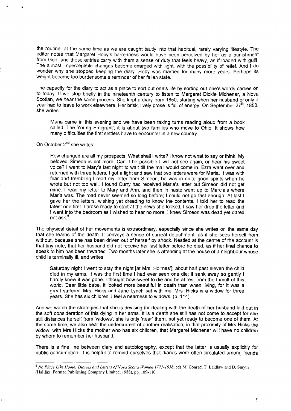the routine, at the same time as we are caught tautly into that habitual, rarely varying lifestyle. The editor notes that Margaret *Hoby's barrenness would have been* perceived *by her as a* punishment from God, and these entries carry with them a sense of duty that feels heavy, as if loaded with guilt. The almost imperceptible changes become charged with light, with the possibility of relief. And I do wonder why she stopped keeping the diary. Hoby was married for many more years. Perhaps its weight became too burdensome a reminder of her fallen state.

The capacity for the diary to act as a place to sort out one's life by sorting out one's words carries on to today. If we stop briefly in the nineteenth century to listen to Margaret Dickie Michener, a Nova Scotian, we hear the same process. She kept a diary from 1850, starting when her husband of only a year had to leave to work elsewhere. Her brisk, lively prose is full of energy. On September  $27<sup>th</sup>$ , 1850, she writes:

Maria came in this evening and we have been taking turns reading aloud from a book called 'The Young Emigrant'; it is about two families who move to Ohio. It shows how many difficulties the first settlers have to encounter in a new country.

On October 2<sup>nd</sup> she writes:

!t

,,

How changed are all my prospects. What shall I write? I know not what to say or think. My beloved Simeon is not more! Can it be possible I will not see again, or hear his sweet voice? I went to Mary's last night to wait till the mail would come in. Ezra went over and returned with three letters. I got a light and saw that two letters were for Maria. It was with fear and trembling I read my letter from Simeon; he was in quite good spirits when he wrote but not too well. i found Curry had received Maria's letter but Simeon did not get mine. I read my letter to Mary and Ann, and then in haste went up to Marcia's where Maria was. The road never seemed so long before; I could not go fast enough. At last I gave her the letters, wishing yet dreading to know the contents. I told her to read the latest one first. I arose ready to start at the news she looked; I saw her drop the letter and I went into the bedroom as I wished to hear no more. I knew Simeon was dead yet dared not ask.6

The physical detail of her movements is extraordinary, especially since she writes on the same day that she learns of the death. It conveys a sense of surreal detachment, as if she sees herself from without, because she has been driven out of herself by shock. Nestled at the centre of the account is that tiny note, that her husband did not receive her last letter before he died, as if her final chance to speak to him has been thwarted. Two months later she is attending at the house of a neighbour whose child is terminally ill, and writes:

Saturday night I went to stay the night [at Mrs. Holmes']; about half past eleven the child died in my arms. It was the first time I had ever seen one die; it sank away so gently I hardly knew it was gone. I thought how sweet to die and be at rest from the tumult of this world. Dear little babe, it looked more beautiful in death than when living, for it was a great sufferer. Mrs. Hicks and Jane Lynch sat with me. Mrs. Hicks is a widow for three years. She has six children. I feel a nearness to widows. (p. 114)

And we watch the strategies that she is devising for dealing with the death of her husband laid out in the soft consideration of this dying in her arms. it is a death she still has not come to accept for she still distances herself from 'widows'; she is only 'near' them, not yet ready to become one of them. At the same time, we also hear the undercurrent of another realisation, in that proximity of Mrs Hicks the widow, with Mrs Hicks the mother who has six children, that Margaret Michener will have no children by whom to remember her husband.

There is a fine line between diary and autobiography, except that the latter is usually explicitly for public consumption. It is helpful to remind ourselves that diaries were often circulated among friends

*bNo Place Like Home: Diaries and Letters of Nova Scotia Women 1771-1938, eds M.* Conrad, T. Laidlaw and D. Smyth (Halifax: Formac Publishing Company Limited, 1988), pp. 109-110.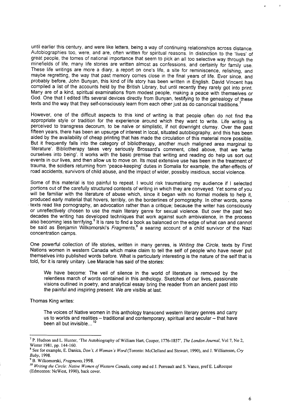until earlier this century, and were like letters, being a way of continuing relationships across distance. Autobiographies too, were, and are, often written for spiritual reasons. In distinction to the 'lives' of great people, the tomes of national importance that seem to pick an all too selective way through the minefields of life, many life stories are written almost as confessions, and certainly for family use. These life writings are more a diary, a report on one's life, a site for reminiscence, relishing, and maybe regretting, the way that past memory comes close in the final years of life. Ever since, and probably before, John Bunyan, this kind of life story has been written in English. David Vincent has compiled a list of the accounts held by the British Library, but until recently they rarely got into print. Many are of a kind, spiritual examinations from modest people, making a peace with themselves or God. One that I edited lifts several devices directly from Bunyan, testifying to the genealogy of these texts and the way that they self-consciously learn from each other just as do canonical traditions.<sup>7</sup>

However, one of the difficult aspects to this kind of writing is that people often do not find the appropriate style or tradition for the experience around which they want to write. Life writing is perceived to transgress decorum, to be naive or simplistic, if not downright clumsy. Over the past fifteen years, there has been an upsurge of interest in local, situated autobiography, and this has been aided by the availability of cheap printing that has made the circulation of this material more possible. But it frequently falls into the category of bibliotherapy, another much maligned area marginal to 'literature'. Bibliotherapy takes very seriously Brossard's comment, cited above, that we 'write ourselves into being'. It works with the basic premise that writing and reading do help us sort out events in our lives, and then allow us to move on. Its most extensive use has been in the treatment of trauma, the soldiers returning from 'peace-keeping' duties in Somalia for example, the after-effects of road accidents, survivors of child abuse, and the impact of wider, possibly insidious, social violence.

Some of this material is too painful to repeat. I would risk traumatising my audience if I selected portions out of the carefully structured contexts of writing in which they are conveyed. Yet some of you will be familiar with the literature of abuse which, since it began with no formal models to help it, produced early material that hovers, terribly, on the borderlines of pornography. In other words, some texts read like pornography, an advocation rather than a critique; because the writer has consciously or unreflectively chosen to use the main literary genre for sexual violence. But over the past two decades the writing has developed techniques that work against such ambivalence, in the process also becoming less terrifying. It is rare to find a book as balanced on the edge of what can and cannot be said as benjamin Wilkomorski's *Fragments*, a searing account of a child survivor of the Naz concentration camps.

One powerful collection of life stories, written in many genres, is Writing the Circle, texts by First Nations women in western Canada which make claim to tell the self of people who have never put themselves into published words before. What is particularly interesting is the nature of the self that is told, for it is rarely unitary. Lee Maracle has said of the stories:

We have become: The veil of silence in the world of literature is removed by the relentless march of words contained in this anthology. Sketches of our lives, passionate visions outlined in poetry, and analytical essay bring the reader from an ancient past into the painful and inspiring present. We are visible at last.

Thomas King writes:

The voices of Native women in this anthology transcend western literary genres and carry us to worlds and realities – traditional and contemporary, spiritual and secular – that have been all but invisible... 10

,,

<sup>&</sup>lt;sup>7</sup> P. Hudson and L. Hunter, 'The Autobiography of William Hart, Cooper, 1776-1857', The London Journal, Vol 7, No 2, Winter 1981, pp. *144-160.*

<sup>&</sup>lt;sup>8</sup> See for example, E. Danica, *Don't, A Woman's Word* (Toronto: McClelland and Stewart, 1990), and J. Williamson, Cry *Baby,* 1998.

*<sup>9</sup>* B. Wilkomorski, *Fragments,* 1998.

<sup>&</sup>lt;sup>10</sup> Writing the Circle: Native Women of Western Canada, comp and ed J. Perreault and S. Vance, pref E. LaRocque (Edmonton: NeWest, 1990), back cover.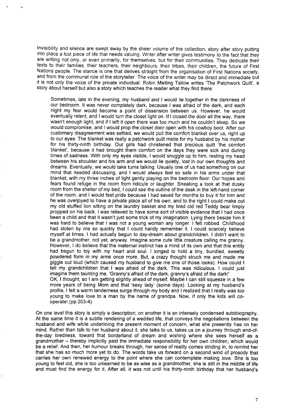Invisibility and silence are swept away by the sheer volume of the collection, story after story putting into place a lost piece of life that needs valuing. Writer after writer gives testimony to the fact that they are writing not only, or even primarily, for themselves, but for their communities. They dedicate their texts to their families, their teachers, their neighbours, their tribes, their children, the future of First Nations people. The stance is one that derives straight from the organisation of First Nations society, and from the communal role of the storyteller. The voice of the writer may be direct and immediate but it is not only the voice of the private individual. Robin Melting Tallow writes 'The Patchwork Quilf, a story about herself but also a story which teaches the reader what they find there:

Sometimes, late in the evening, my husband and I would lie together in the darkness of our bedroom. It was never completely dark, because I was afraid of the dark, and each night my fear would become a point of dissension between us. However, he would eventually relent, and I would turn the closet light on. If I closed the door all the way, there wasn't enough light, and if I left it open there was too much and he couldn't sleep. So we would compromise, and I would prop the closet door open with his cowboy boot. After our customary disagreement was settled, we would pull the comfort blanket over us, right up to our eyes. The blanket was really a patchwork quilt made for my husband by his mother for his thirty-ninth birthday. Our girls had christened that precious quilt 'the comfort blanket', because it had brought them comfort on the days they were sick and during times of sadness. With only my eyes visible, I would snuggle up to him, resting my head between his shoulder and his arm and we would lie quietly, lost in our own thoughts and dreams. Eventually, we would take turns talking. Usually one of us had something on our mind that needed discussing, and I would always feel so safe in his arms under that blanket, with my three inches of light gently playing on the bedroom floor. Our hopes and fears found refuge in the room from ridicule or laughter. Sneaking a look at that dusky room from the shelter of my bed, I could see the outline of the desk in the left-hand corner of the room, and I would feel pride because I had saved for months to buy it for him and he was overjoyed to have a private place all of his own, and to the right I could make out my old stuffed lion sitting on the laundry basket and my tired old red Teddy bear limply propped on his back. I was relieved to have some sort of visible evidence that I had once been a child and that it wasn't just some trick of my imagination. Lying there beside him it was hard to believe that 1was not a young woman any longer. I felt robbed. Childhood had stolen by me so quickly that I could hardly remember it. I could scarcely believe myself at times. I had actually begun to day-dream about grandchildren. I didn't want to be a grandmother, not yet, anyway. Imagine some cute little creature calling me granny. However, I do believe that the maternal instinct has a mind of its own and that this entity had begun to toy with my heart and soul. I longed to hold a tiny, bundled, sweetly powdered form in my arms once more. But, a crazy thought struck me and made me giggle out loud (which caused my husband to give me one of those looks). How could I tell my grandchildren that I was afraid of the dark. This was ridiculous. I could just imagine them taunting me, 'Granny's afraid of the dark, granny's afraid of the dark!' OK, I thought, so I am getting slightly ahead of myself. Maybe I can still squeeze in a few more years of being Mom and that 'sexy lady' (some days). Looking at my husband's profile, I felt a warm tenderness surge through my body and 1realized that 1really was too young to make love to a man by the name of grandpa. Now, if only the kids will cooperate! .(pp.203-4)

On one level this story is simply a description; on another it is an intensely condensed autobiography. At the same time it is a subtle rendering of a wedded life, that conveys the negotiations between the husband and wife while underlining the present moment of concern, what she presently has on her mind. Rather than talk to her husband about it, she talks to us, takes us on a journey through end-ofthe-day tiredness, toward that borderland of dream and wishing where she sees herself as a grandmother – thereby implicitly past the immediate responsibility for her own children, which would be a relief. And then, her humour breaks through, her sense of reality comes striding in, to remind her that she has so much more yet to do. The words take us forward on a second wind of prosody that carries her own renewed energy to the point where she can contemplate making love. She is too young to feel old, she is too unlearned to be as wise as a grandmother, she is still in the middle of life and must find the energy for it. After all, it was not until his thirty-ninth birthday that her husband's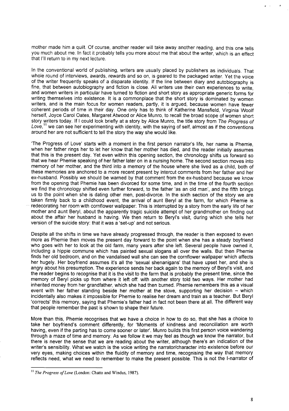mother made him a quilt, Of course, another reader will take away another reading, and this one tells you much about me. In fact it probably tells you more about me that about the writer, which is an effect that I'll return to in my next lecture.

In the conventional world of publishing, writers are usually placed by publishers as individuals. That whole round of interviews, awards, rewards and so on, is geared to the packaged writer. Yet the voice of the writer frequently speaks of a disparate identity. If the line between diary and autobiography is fine, that between autobiography and fiction is close. All writers use their own experiences to write, and women writers in particular have turned to fiction and short story as appropriate generic forms for writing themselves into existence. It is a commonplace that the short story is dominated by women writers, and is the main focus for women readers, partly, it is argued, because women have fewer coherent periods of time in their day. One only has to think of Katherine Mansfield, Virginia Woolf herself, Joyce Carol Oates, Margaret Atwood or Alice Munro, to recall the broad scope of women short story writers today. If I could look briefly at a story by Alice Munro, the title story from The Progress of Love,  $11$  we can see her experimenting with identity, with the saying of self, almost as if the conventions around her are not sufficient to tell the story the way she would like.

'The Progress of Love' starts with a moment in the first person narrator's life, her name is Phemie, when her father rings her to let her know that her mother has died, and the reader initially assumes that this is the present day. Yet even within this opening section, the chronology shifts us forward so that we hear Phemie speaking of her father later on in a nursing home. The second section moves into memory of her mother, and the third into a memory of the house where she lived as a child, both of these memories are anchored to a more recent present by intercut comments from her father and her ex-husband. Possibly we should be warned by that comment from the ex-husband because we know from the opening that Phemie has been divorced for some time, and in the time of the fourth section we find the chronology shifted even further forward, to the father 'as an old man', and the fifth brings us to the point when she is dating other men, post-divorce. In the sixth section of the story we are taken firmly back to a childhood event, the arrival of aunt Beryl at the farm, for which Phemie is redecorating her room with cornflower wallpaper: This is interrupted by a story from the early life of her mother and aunt Beryl, about the apparently tragic suicide attempt of her grandmother on finding out about the affair her husband is having. We then return to Beryl's visit, during which she tells her version of the suicide story: that it was a 'set-up' and not serious.

Despite all the shifts in time we have already progressed through, the reader is then exposed to even more as Phemie then moves the present day forward to the point when she has a steady boyfriend who goes with her to look at the old farm, many years after she left. Several people have owned it, including a hippie commune which has painted sexual slogans all over the walls. But then Phemie finds her old bedroom, and on the vandalised wall she can see the cornflower wallpaper which affects her hugely. Her boyfriend assumes it's all the 'sexual shenanigans' that have upset her, and she is angry about his presumption. The experience sends her back again to the memory of Beryl's visit, and the reader begins to recognise that it is the visit to the farm that is probably the present time, since the memory of Beryl picks up from where it left off: with another story told two ways. Her mother had inherited money from her grandfather, which she had then burned. Phemie remembers this as a visual event with her father standing beside her mother at the stove, supporting her decision  $-$  which incidentally also makes it impossible for Phemie to realise her dream and train as a teacher. But Beryl 'corrects' this memory, saying that Phemie's father had in fact not been there at all. The different way that people remember the past is shown to shape their future.

More than this, Phemie recognises that we have a choice in how to do so, that she has a choice to take her boyfriend's comment differently, for 'Moments of kindness and reconciliation are worth having, even if the parting has to come sooner or later'. Munro builds this first person voice wandering through a maze of time and memory. As we follow it we may feel as though we know the narrator, but there is never the sense that we are reading about the writer, although there's an indication of the writer's sensibility. What we watch is the voice writing the narrator/character into existence before our very eyes, making choices within the fluidity of memory and time, recognizing the way that memory reflects need, what we need to remember to make the present possible. This is not the l-narrator of

*<sup>11</sup>The Progress of Love* (London: Chatio and Windus, 1987).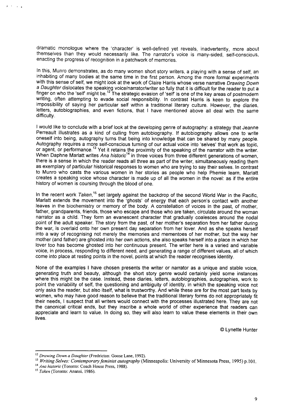dramatic monologue where the 'character' is well-defined yet reveals, inadvertently, more about themselves than they would necessarily like. The narrator's voice is many-sided, self-conscious, enacting the progress of recognition in a patchwork of memories.

In this, Munro demonstrates, as do many women short story writers, a playing with a sense of self, an inhabiting of many bodies at the same time in the first person. Among the more formal experiments with this sense of self, we might look at the work of Claire Harris whose verse narrative Drawing Down a Daughter dislocates the speaking voice/narrator/writer so fully that it is difficult for the reader to put a finger on who the 'self' might be.<sup>12</sup> The strategic evasion of 'self' is one of the key areas of postmodern writing, often attempting to evade social responsibility. In contrast Harris is keen to explore the impossibility of saying her particular self within a traditional literary culture. However, the diaries, letters, autobiographies, and even fictions, that I have mentioned above all deal with the same difficulty.

I would like to conclude with a brief look at the developing genre of autography: a strategy that Jeanne Perreault illustrates as a kind of culling from autobiography. If autobiography allows one to write oneself into being, autography turns that being into knowledge that can be shared by many people. Autography requires a more self-conscious turning of our actual voice into 'selves' that work as topic, or agent, or performance.<sup>13</sup> Yet it retains the proximity of the speaking of the narrator with the writer. When Daphne Marlatt writes Ana historic<sup>14</sup> in three voices from three different generations of women. there is a sense in which the reader reads all three as part of the writer, simultaneously reading them as exemplary of particular historical responses to women who are trying to say their selves. In contrast to Munro who casts the various women in her stories as people who help Phemie learn, Marlatt creates a speaking voice whose character is made up of all the women in the novel: as if the entire history of women is coursing through the blood of one.

In the recent work Taken,<sup>15</sup> set largely against the backdrop of the second World War in the Pacific, Marlatt extends the movement into the 'ghosts' of energy that each person's contact with another leaves in the biochemistry or memory of the body. A constellation of voices in the past, of mother, father, grandparents, friends, those who escape and those who are taken, circulate around the woman narrator as a child. They form an evanescent character that gradually coalesces around the nodal point of the adult speaker. The story from the past, of her mother's separation from her father during the war, is overlaid onto her own present day separation from her lover. And as she speaks herself into a way of recognizing not merely the memories and mementoes of her mother, but the way her mother (and father) are ghosted into her own actions, she also speaks herself into a place in which her lover too has become ghosted into her continuous present. The writer here is a varied and variable voice, in process, responding to different need, and generating a range of different values, all of which come into place at resting points in the novel, points at which the reader recognises identity.

None of the examples i have chosen presents the writer or narrator as a unique and stable voice, generating truth and beauty, although the short story genre would certainly yield some instances where this might be the case. Instead, these diaries, letters, autobiographies, autographies, work to point the variability of self, the questioning and ambiguity of identity, in which the speaking voice not only asks the reader, but also itself, what is trustworthy. And while these are for the most part texts by women, who may have good reason to believe that the traditional literary forms do not appropriately fit their needs, I suspect that all writers would connect with the processes illustrated here. They are not the canonical critical ends, but they inscribe a whole world of other experience that readers can appreciate and learn to value. In doing so, they will also learn to value these elements in their own lives.

@ Lynette Hunter

 $1/\sqrt{\frac{1}{2}}$ 

<sup>&</sup>lt;sup>12</sup> Drawing Down a Daughter (Fredricton: Goose Lane, 1992).

<sup>&</sup>lt;sup>13</sup> Writing Selves: Contemporary feminist autography (Minneapolis: University of Minnesota Press, 1995) p.101.

<sup>&</sup>lt;sup>14</sup> Ana historic (Toronto: Coach House Press, 1988).

<sup>15</sup>*Taken* (Toronto: Anansi, 1986).